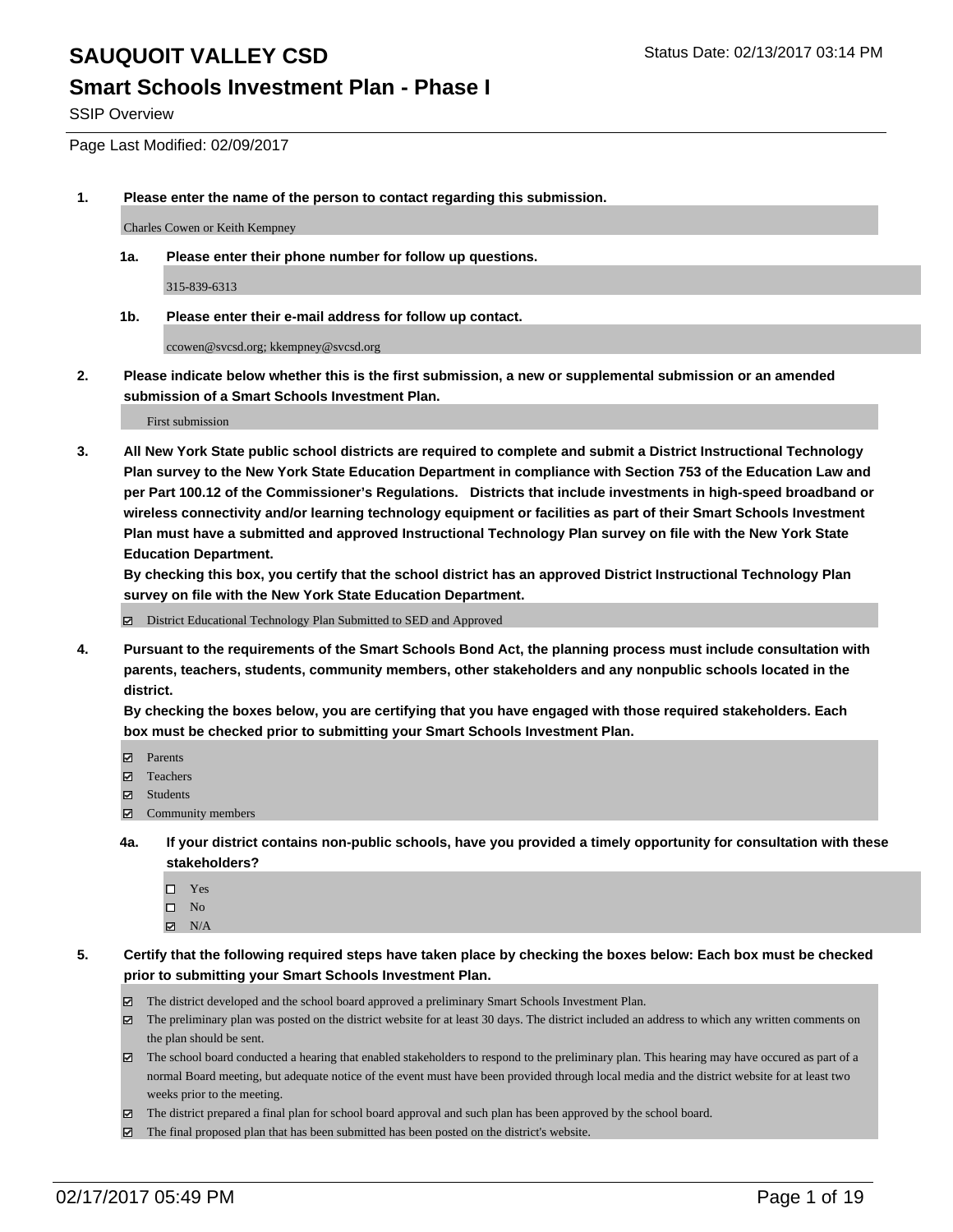#### **Smart Schools Investment Plan - Phase I**

SSIP Overview

Page Last Modified: 02/09/2017

**1. Please enter the name of the person to contact regarding this submission.**

Charles Cowen or Keith Kempney

**1a. Please enter their phone number for follow up questions.**

315-839-6313

**1b. Please enter their e-mail address for follow up contact.**

ccowen@svcsd.org; kkempney@svcsd.org

**2. Please indicate below whether this is the first submission, a new or supplemental submission or an amended submission of a Smart Schools Investment Plan.**

First submission

**3. All New York State public school districts are required to complete and submit a District Instructional Technology Plan survey to the New York State Education Department in compliance with Section 753 of the Education Law and per Part 100.12 of the Commissioner's Regulations. Districts that include investments in high-speed broadband or wireless connectivity and/or learning technology equipment or facilities as part of their Smart Schools Investment Plan must have a submitted and approved Instructional Technology Plan survey on file with the New York State Education Department.** 

**By checking this box, you certify that the school district has an approved District Instructional Technology Plan survey on file with the New York State Education Department.**

District Educational Technology Plan Submitted to SED and Approved

**4. Pursuant to the requirements of the Smart Schools Bond Act, the planning process must include consultation with parents, teachers, students, community members, other stakeholders and any nonpublic schools located in the district.** 

**By checking the boxes below, you are certifying that you have engaged with those required stakeholders. Each box must be checked prior to submitting your Smart Schools Investment Plan.**

- **Parents**
- Teachers
- **冈** Students
- Community members
- **4a. If your district contains non-public schools, have you provided a timely opportunity for consultation with these stakeholders?**
	- □ Yes
	- $\square$  No
	- $\boxtimes$  N/A
- **5. Certify that the following required steps have taken place by checking the boxes below: Each box must be checked prior to submitting your Smart Schools Investment Plan.**
	- The district developed and the school board approved a preliminary Smart Schools Investment Plan.
	- The preliminary plan was posted on the district website for at least 30 days. The district included an address to which any written comments on the plan should be sent.
	- The school board conducted a hearing that enabled stakeholders to respond to the preliminary plan. This hearing may have occured as part of a normal Board meeting, but adequate notice of the event must have been provided through local media and the district website for at least two weeks prior to the meeting.
	- The district prepared a final plan for school board approval and such plan has been approved by the school board.
	- $\boxtimes$  The final proposed plan that has been submitted has been posted on the district's website.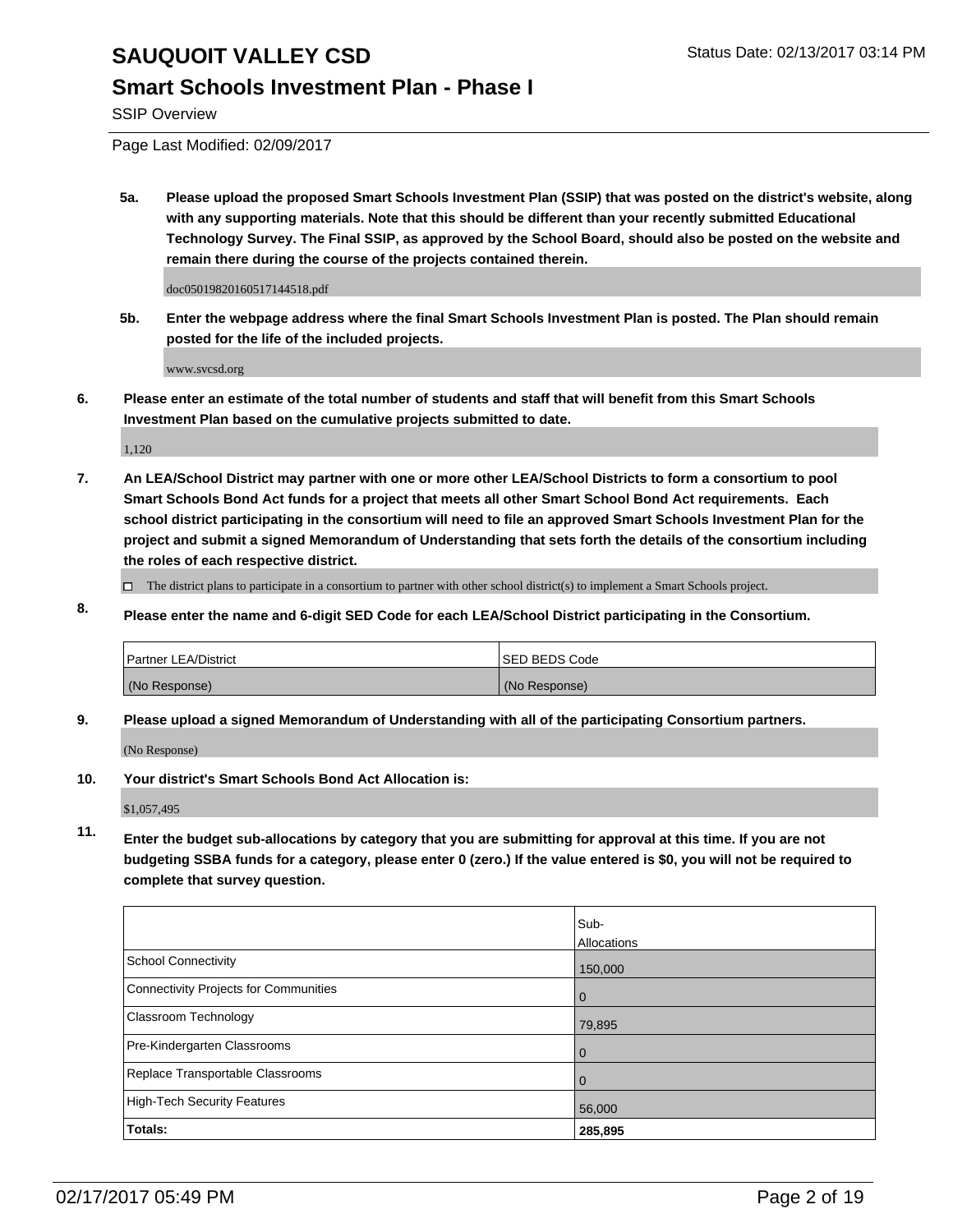### **Smart Schools Investment Plan - Phase I**

SSIP Overview

Page Last Modified: 02/09/2017

**5a. Please upload the proposed Smart Schools Investment Plan (SSIP) that was posted on the district's website, along with any supporting materials. Note that this should be different than your recently submitted Educational Technology Survey. The Final SSIP, as approved by the School Board, should also be posted on the website and remain there during the course of the projects contained therein.**

doc05019820160517144518.pdf

**5b. Enter the webpage address where the final Smart Schools Investment Plan is posted. The Plan should remain posted for the life of the included projects.**

www.svcsd.org

**6. Please enter an estimate of the total number of students and staff that will benefit from this Smart Schools Investment Plan based on the cumulative projects submitted to date.**

1,120

- **7. An LEA/School District may partner with one or more other LEA/School Districts to form a consortium to pool Smart Schools Bond Act funds for a project that meets all other Smart School Bond Act requirements. Each school district participating in the consortium will need to file an approved Smart Schools Investment Plan for the project and submit a signed Memorandum of Understanding that sets forth the details of the consortium including the roles of each respective district.**
	- $\Box$  The district plans to participate in a consortium to partner with other school district(s) to implement a Smart Schools project.
- **8. Please enter the name and 6-digit SED Code for each LEA/School District participating in the Consortium.**

| <b>Partner LEA/District</b> | <b>ISED BEDS Code</b> |
|-----------------------------|-----------------------|
| (No Response)               | (No Response)         |

**9. Please upload a signed Memorandum of Understanding with all of the participating Consortium partners.**

(No Response)

**10. Your district's Smart Schools Bond Act Allocation is:**

\$1,057,495

**11. Enter the budget sub-allocations by category that you are submitting for approval at this time. If you are not budgeting SSBA funds for a category, please enter 0 (zero.) If the value entered is \$0, you will not be required to complete that survey question.**

|                                       | Sub-        |
|---------------------------------------|-------------|
|                                       | Allocations |
| <b>School Connectivity</b>            | 150,000     |
| Connectivity Projects for Communities | $\Omega$    |
| <b>Classroom Technology</b>           | 79,895      |
| Pre-Kindergarten Classrooms           | 0           |
| Replace Transportable Classrooms      |             |
| High-Tech Security Features           | 56,000      |
| <b>Totals:</b>                        | 285,895     |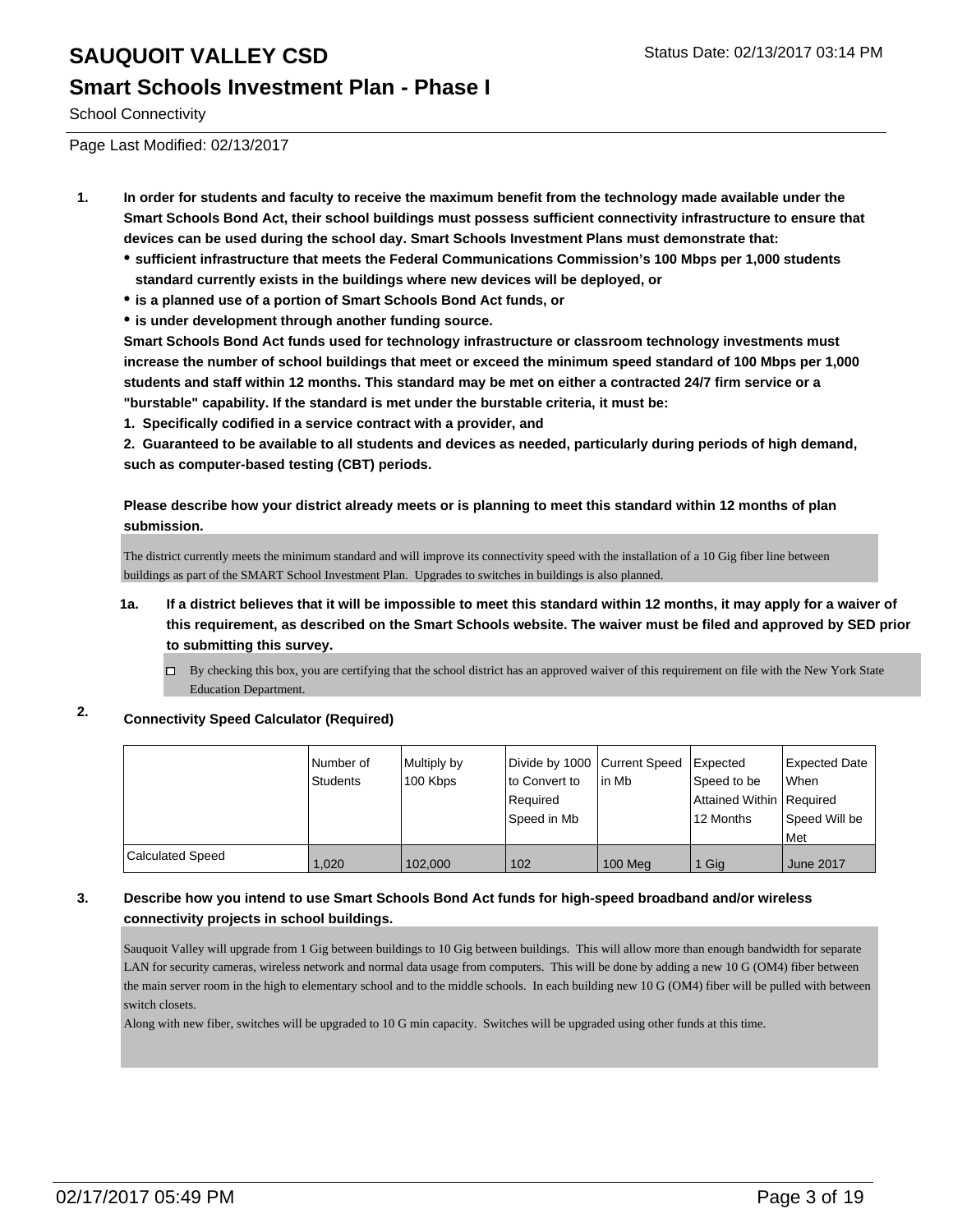#### **Smart Schools Investment Plan - Phase I**

School Connectivity

Page Last Modified: 02/13/2017

- **1. In order for students and faculty to receive the maximum benefit from the technology made available under the Smart Schools Bond Act, their school buildings must possess sufficient connectivity infrastructure to ensure that devices can be used during the school day. Smart Schools Investment Plans must demonstrate that:**
	- **sufficient infrastructure that meets the Federal Communications Commission's 100 Mbps per 1,000 students standard currently exists in the buildings where new devices will be deployed, or**
	- **is a planned use of a portion of Smart Schools Bond Act funds, or**
	- **is under development through another funding source.**

**Smart Schools Bond Act funds used for technology infrastructure or classroom technology investments must increase the number of school buildings that meet or exceed the minimum speed standard of 100 Mbps per 1,000 students and staff within 12 months. This standard may be met on either a contracted 24/7 firm service or a "burstable" capability. If the standard is met under the burstable criteria, it must be:**

**1. Specifically codified in a service contract with a provider, and**

**2. Guaranteed to be available to all students and devices as needed, particularly during periods of high demand, such as computer-based testing (CBT) periods.**

**Please describe how your district already meets or is planning to meet this standard within 12 months of plan submission.**

The district currently meets the minimum standard and will improve its connectivity speed with the installation of a 10 Gig fiber line between buildings as part of the SMART School Investment Plan. Upgrades to switches in buildings is also planned.

- **1a. If a district believes that it will be impossible to meet this standard within 12 months, it may apply for a waiver of this requirement, as described on the Smart Schools website. The waiver must be filed and approved by SED prior to submitting this survey.**
	- By checking this box, you are certifying that the school district has an approved waiver of this requirement on file with the New York State Education Department.

#### **2. Connectivity Speed Calculator (Required)**

|                         | Number of<br>Students | Multiply by<br>100 Kbps | Divide by 1000 Current Speed<br>to Convert to<br>Required<br>lSpeed in Mb | l in Mb | Expected<br>Speed to be<br>Attained Within   Required<br>12 Months | Expected Date<br><b>When</b><br>Speed Will be |
|-------------------------|-----------------------|-------------------------|---------------------------------------------------------------------------|---------|--------------------------------------------------------------------|-----------------------------------------------|
|                         |                       |                         |                                                                           |         |                                                                    | Met                                           |
| <b>Calculated Speed</b> | 1.020                 | 102.000                 | 102                                                                       | 100 Meg | 1 Gig                                                              | June 2017                                     |

#### **3. Describe how you intend to use Smart Schools Bond Act funds for high-speed broadband and/or wireless connectivity projects in school buildings.**

Sauquoit Valley will upgrade from 1 Gig between buildings to 10 Gig between buildings. This will allow more than enough bandwidth for separate LAN for security cameras, wireless network and normal data usage from computers. This will be done by adding a new 10 G (OM4) fiber between the main server room in the high to elementary school and to the middle schools. In each building new 10 G (OM4) fiber will be pulled with between switch closets.

Along with new fiber, switches will be upgraded to 10 G min capacity. Switches will be upgraded using other funds at this time.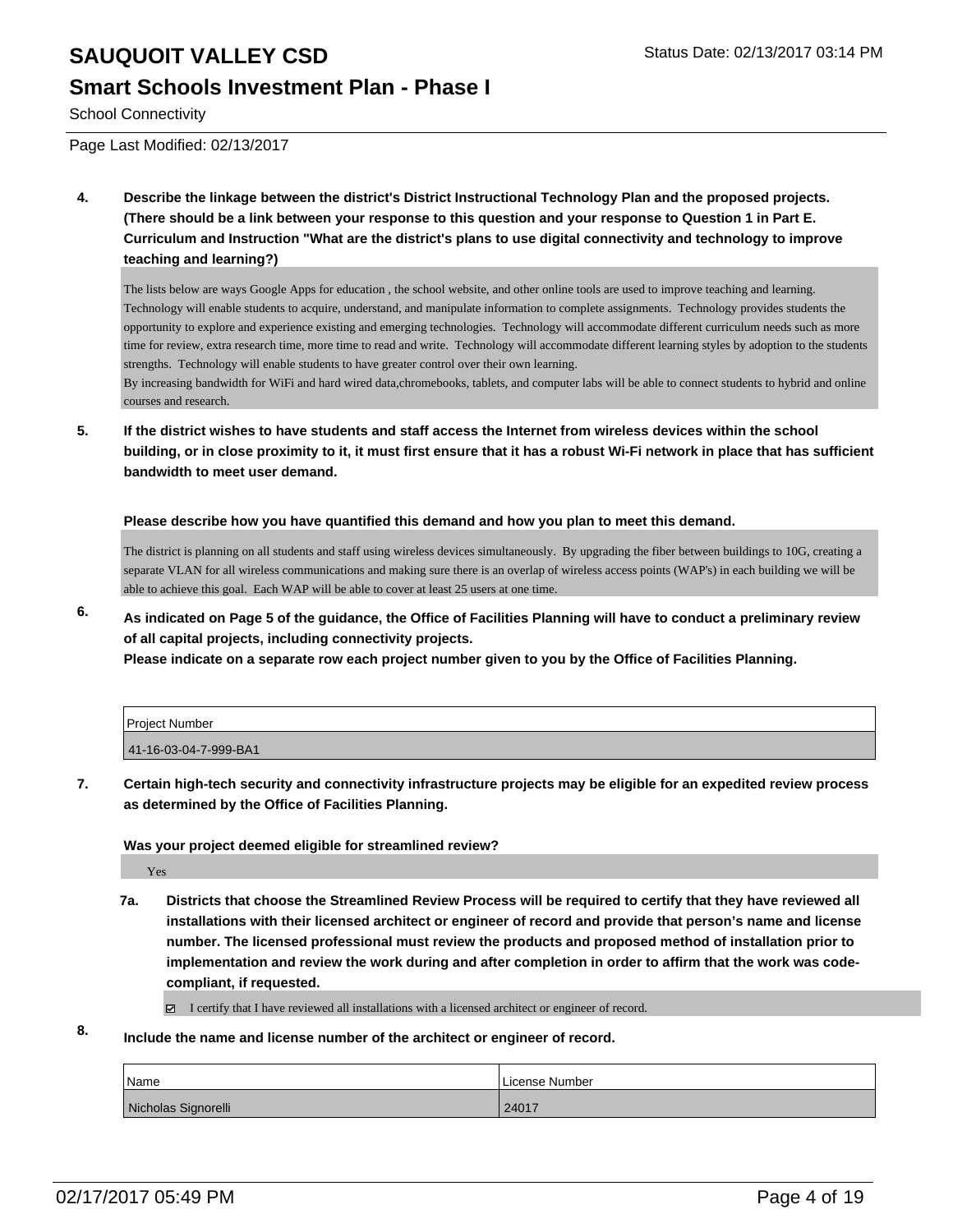#### **Smart Schools Investment Plan - Phase I**

School Connectivity

Page Last Modified: 02/13/2017

**4. Describe the linkage between the district's District Instructional Technology Plan and the proposed projects. (There should be a link between your response to this question and your response to Question 1 in Part E. Curriculum and Instruction "What are the district's plans to use digital connectivity and technology to improve teaching and learning?)**

The lists below are ways Google Apps for education , the school website, and other online tools are used to improve teaching and learning. Technology will enable students to acquire, understand, and manipulate information to complete assignments. Technology provides students the opportunity to explore and experience existing and emerging technologies. Technology will accommodate different curriculum needs such as more time for review, extra research time, more time to read and write. Technology will accommodate different learning styles by adoption to the students strengths. Technology will enable students to have greater control over their own learning.

By increasing bandwidth for WiFi and hard wired data,chromebooks, tablets, and computer labs will be able to connect students to hybrid and online courses and research.

**5. If the district wishes to have students and staff access the Internet from wireless devices within the school building, or in close proximity to it, it must first ensure that it has a robust Wi-Fi network in place that has sufficient bandwidth to meet user demand.**

**Please describe how you have quantified this demand and how you plan to meet this demand.**

The district is planning on all students and staff using wireless devices simultaneously. By upgrading the fiber between buildings to 10G, creating a separate VLAN for all wireless communications and making sure there is an overlap of wireless access points (WAP's) in each building we will be able to achieve this goal. Each WAP will be able to cover at least 25 users at one time.

**6. As indicated on Page 5 of the guidance, the Office of Facilities Planning will have to conduct a preliminary review of all capital projects, including connectivity projects.**

**Please indicate on a separate row each project number given to you by the Office of Facilities Planning.**

| Proiect Number        |  |
|-----------------------|--|
| 41-16-03-04-7-999-BA1 |  |

**7. Certain high-tech security and connectivity infrastructure projects may be eligible for an expedited review process as determined by the Office of Facilities Planning.**

#### **Was your project deemed eligible for streamlined review?**

Yes

**7a. Districts that choose the Streamlined Review Process will be required to certify that they have reviewed all installations with their licensed architect or engineer of record and provide that person's name and license number. The licensed professional must review the products and proposed method of installation prior to implementation and review the work during and after completion in order to affirm that the work was codecompliant, if requested.**

I certify that I have reviewed all installations with a licensed architect or engineer of record.

**8. Include the name and license number of the architect or engineer of record.**

| Name                | License Number |
|---------------------|----------------|
| Nicholas Signorelli | 24017          |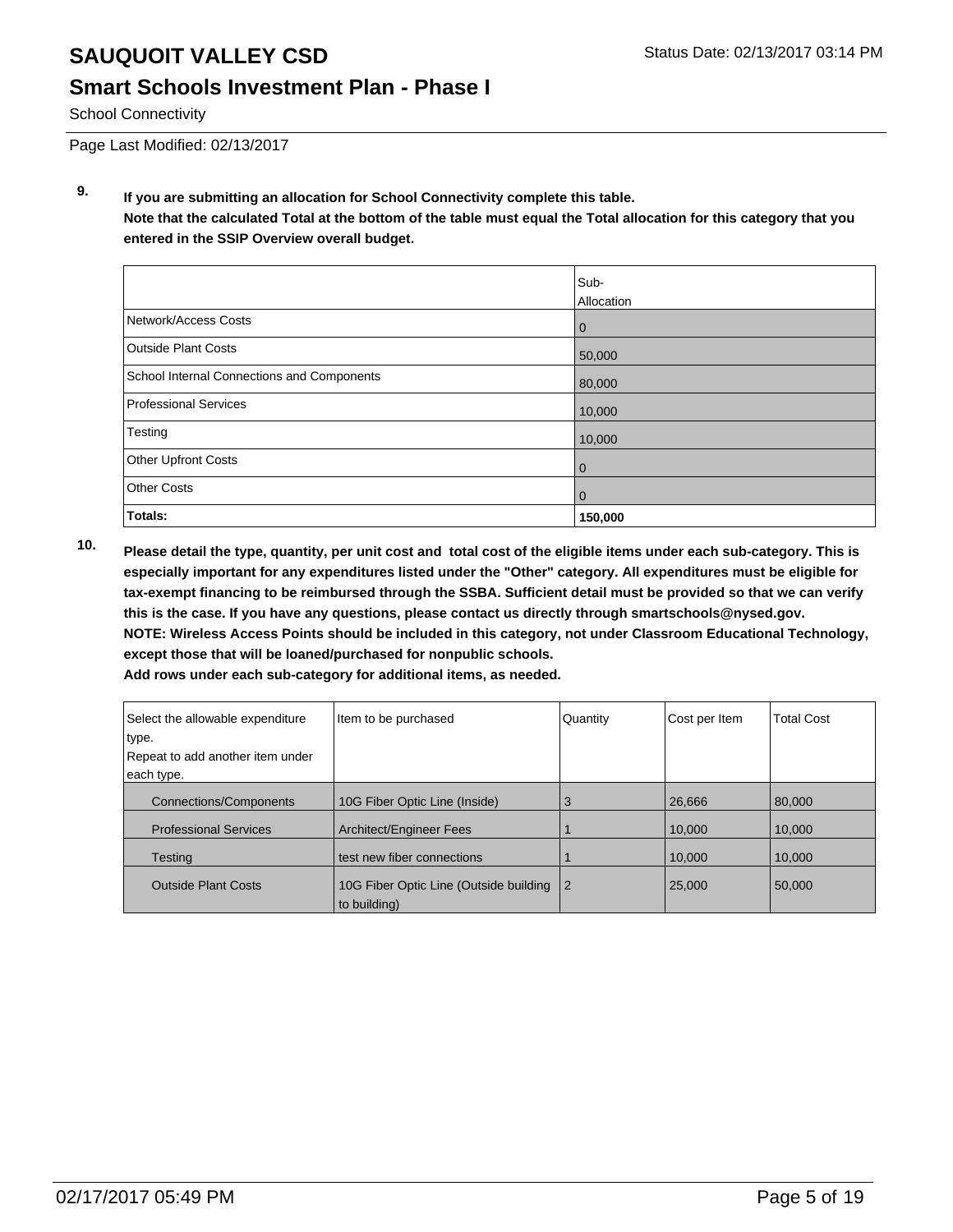### **Smart Schools Investment Plan - Phase I**

School Connectivity

Page Last Modified: 02/13/2017

**9. If you are submitting an allocation for School Connectivity complete this table. Note that the calculated Total at the bottom of the table must equal the Total allocation for this category that you entered in the SSIP Overview overall budget.** 

|                                                   | Sub-<br>Allocation |
|---------------------------------------------------|--------------------|
| Network/Access Costs                              | $\mathbf 0$        |
| Outside Plant Costs                               | 50,000             |
| <b>School Internal Connections and Components</b> | 80,000             |
| Professional Services                             | 10,000             |
| Testing                                           | 10,000             |
| Other Upfront Costs                               | 0                  |
| <b>Other Costs</b>                                | 0                  |
| Totals:                                           | 150,000            |

**10. Please detail the type, quantity, per unit cost and total cost of the eligible items under each sub-category. This is especially important for any expenditures listed under the "Other" category. All expenditures must be eligible for tax-exempt financing to be reimbursed through the SSBA. Sufficient detail must be provided so that we can verify this is the case. If you have any questions, please contact us directly through smartschools@nysed.gov. NOTE: Wireless Access Points should be included in this category, not under Classroom Educational Technology, except those that will be loaned/purchased for nonpublic schools.**

| Select the allowable expenditure<br>type.<br>Repeat to add another item under<br>each type. | Item to be purchased                   | Quantity | Cost per Item | <b>Total Cost</b> |
|---------------------------------------------------------------------------------------------|----------------------------------------|----------|---------------|-------------------|
| <b>Connections/Components</b>                                                               | 10G Fiber Optic Line (Inside)          | 3        | 26,666        | 80,000            |
| <b>Professional Services</b>                                                                | Architect/Engineer Fees                |          | 10.000        | 10,000            |
| <b>Testing</b>                                                                              | test new fiber connections             |          | 10.000        | 10,000            |
| <b>Outside Plant Costs</b>                                                                  | 10G Fiber Optic Line (Outside building | l 2      | 25,000        | 50,000            |

**Add rows under each sub-category for additional items, as needed.**

to building)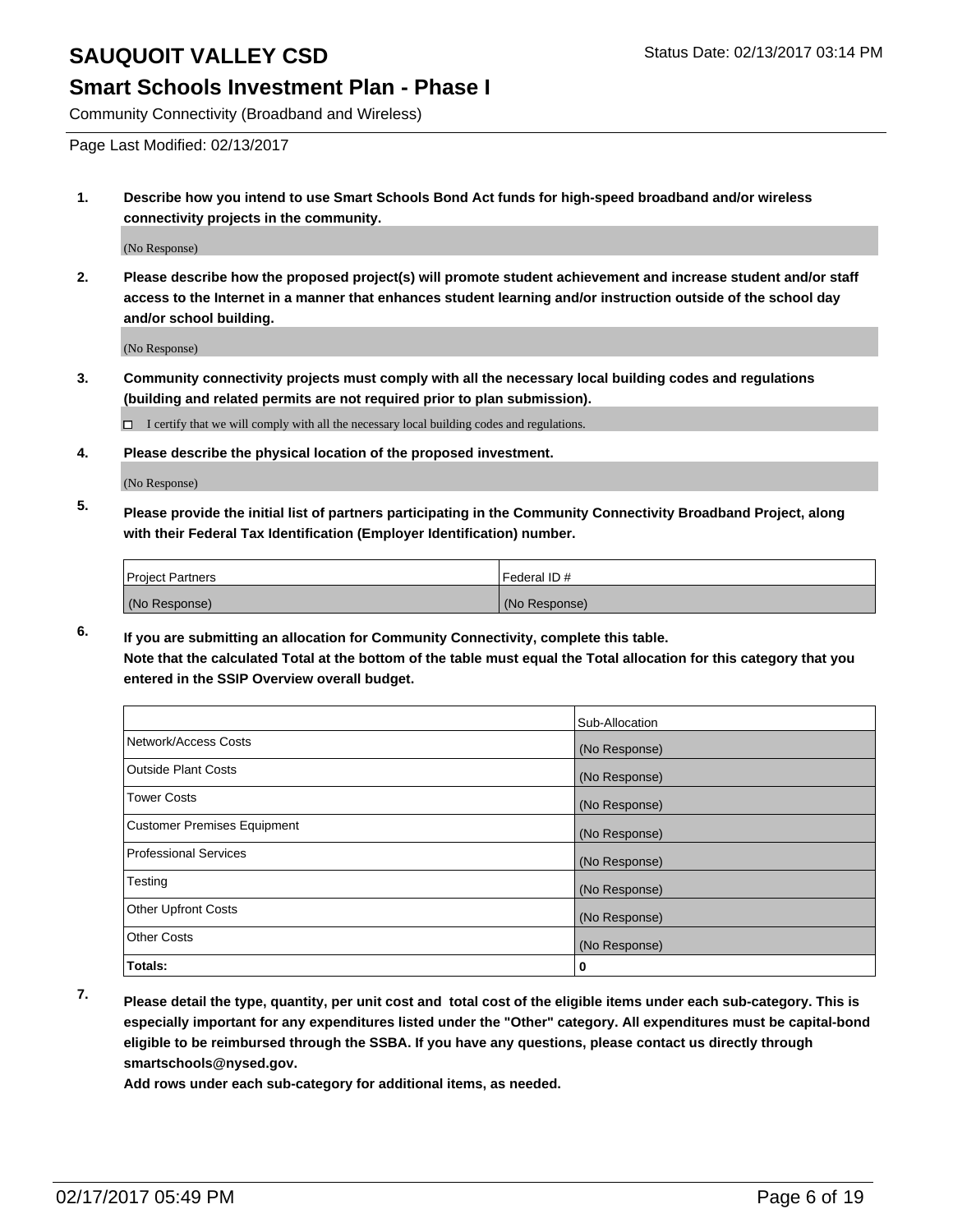#### **Smart Schools Investment Plan - Phase I**

Community Connectivity (Broadband and Wireless)

Page Last Modified: 02/13/2017

**1. Describe how you intend to use Smart Schools Bond Act funds for high-speed broadband and/or wireless connectivity projects in the community.**

(No Response)

**2. Please describe how the proposed project(s) will promote student achievement and increase student and/or staff access to the Internet in a manner that enhances student learning and/or instruction outside of the school day and/or school building.**

(No Response)

**3. Community connectivity projects must comply with all the necessary local building codes and regulations (building and related permits are not required prior to plan submission).**

 $\Box$  I certify that we will comply with all the necessary local building codes and regulations.

**4. Please describe the physical location of the proposed investment.**

(No Response)

**5. Please provide the initial list of partners participating in the Community Connectivity Broadband Project, along with their Federal Tax Identification (Employer Identification) number.**

| <b>Project Partners</b> | l Federal ID # |
|-------------------------|----------------|
| (No Response)           | (No Response)  |

**6. If you are submitting an allocation for Community Connectivity, complete this table. Note that the calculated Total at the bottom of the table must equal the Total allocation for this category that you entered in the SSIP Overview overall budget.**

|                                    | Sub-Allocation |
|------------------------------------|----------------|
| Network/Access Costs               | (No Response)  |
| <b>Outside Plant Costs</b>         | (No Response)  |
| <b>Tower Costs</b>                 | (No Response)  |
| <b>Customer Premises Equipment</b> | (No Response)  |
| <b>Professional Services</b>       | (No Response)  |
| Testing                            | (No Response)  |
| <b>Other Upfront Costs</b>         | (No Response)  |
| <b>Other Costs</b>                 | (No Response)  |
| Totals:                            | 0              |

**7. Please detail the type, quantity, per unit cost and total cost of the eligible items under each sub-category. This is especially important for any expenditures listed under the "Other" category. All expenditures must be capital-bond eligible to be reimbursed through the SSBA. If you have any questions, please contact us directly through smartschools@nysed.gov.**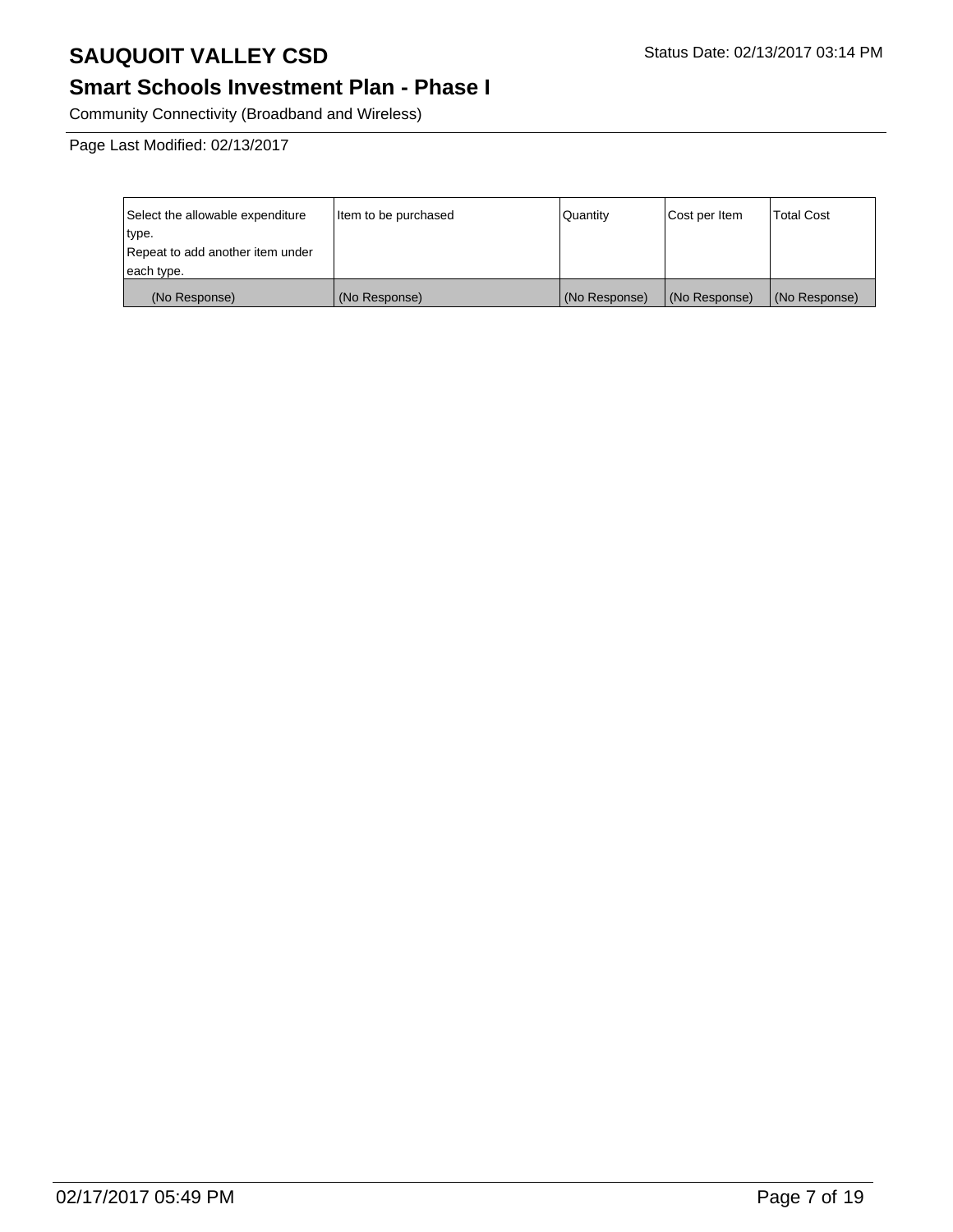### **Smart Schools Investment Plan - Phase I**

Community Connectivity (Broadband and Wireless)

Page Last Modified: 02/13/2017

| Select the allowable expenditure | Item to be purchased | l Quantitv    | Cost per Item | <b>Total Cost</b> |
|----------------------------------|----------------------|---------------|---------------|-------------------|
| type.                            |                      |               |               |                   |
| Repeat to add another item under |                      |               |               |                   |
| each type.                       |                      |               |               |                   |
| (No Response)                    | (No Response)        | (No Response) | (No Response) | (No Response)     |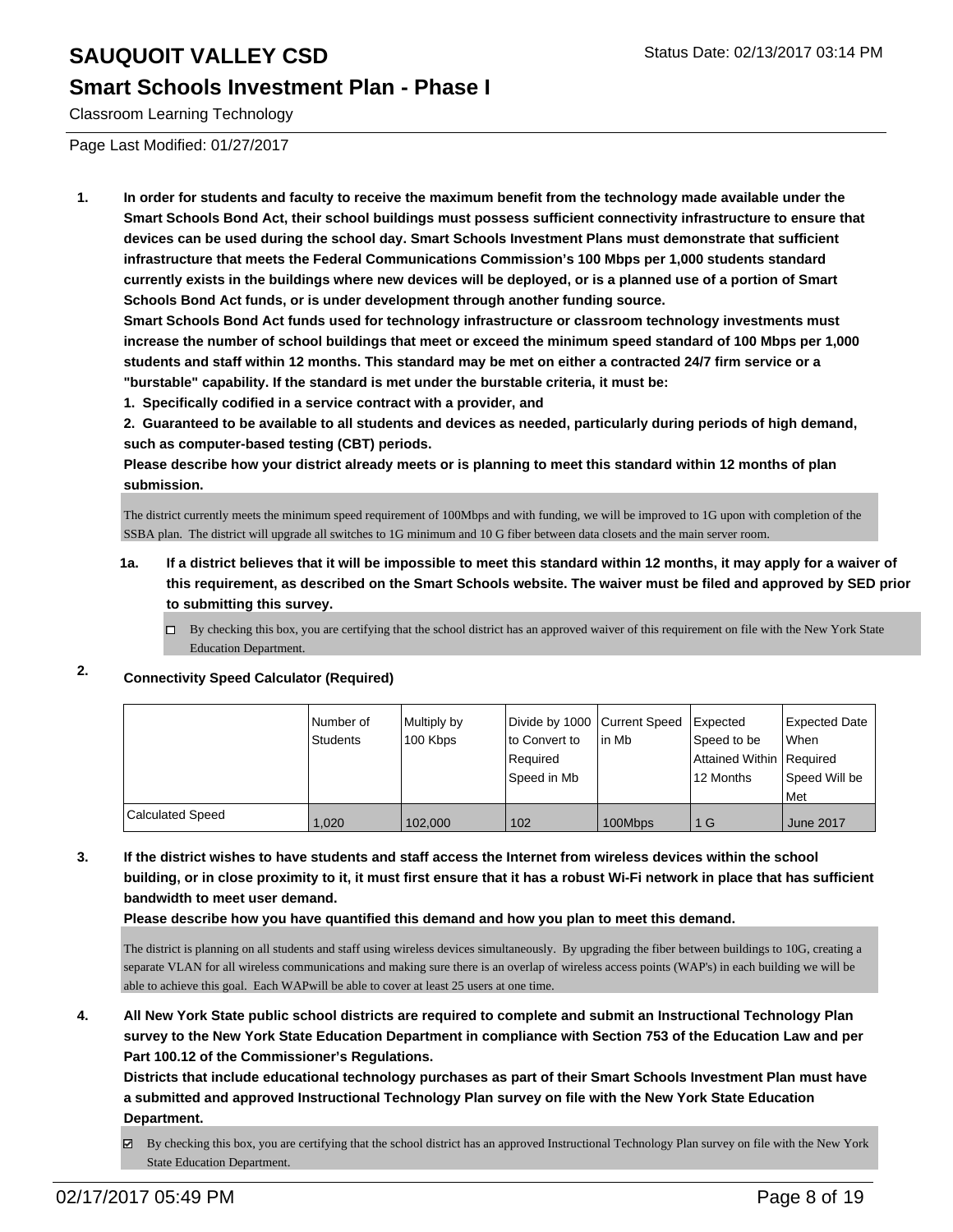#### **Smart Schools Investment Plan - Phase I**

Classroom Learning Technology

Page Last Modified: 01/27/2017

**1. In order for students and faculty to receive the maximum benefit from the technology made available under the Smart Schools Bond Act, their school buildings must possess sufficient connectivity infrastructure to ensure that devices can be used during the school day. Smart Schools Investment Plans must demonstrate that sufficient infrastructure that meets the Federal Communications Commission's 100 Mbps per 1,000 students standard currently exists in the buildings where new devices will be deployed, or is a planned use of a portion of Smart Schools Bond Act funds, or is under development through another funding source.**

**Smart Schools Bond Act funds used for technology infrastructure or classroom technology investments must increase the number of school buildings that meet or exceed the minimum speed standard of 100 Mbps per 1,000 students and staff within 12 months. This standard may be met on either a contracted 24/7 firm service or a "burstable" capability. If the standard is met under the burstable criteria, it must be:**

**1. Specifically codified in a service contract with a provider, and**

**2. Guaranteed to be available to all students and devices as needed, particularly during periods of high demand, such as computer-based testing (CBT) periods.**

**Please describe how your district already meets or is planning to meet this standard within 12 months of plan submission.**

The district currently meets the minimum speed requirement of 100Mbps and with funding, we will be improved to 1G upon with completion of the SSBA plan. The district will upgrade all switches to 1G minimum and 10 G fiber between data closets and the main server room.

- **1a. If a district believes that it will be impossible to meet this standard within 12 months, it may apply for a waiver of this requirement, as described on the Smart Schools website. The waiver must be filed and approved by SED prior to submitting this survey.**
	- $\Box$  By checking this box, you are certifying that the school district has an approved waiver of this requirement on file with the New York State Education Department.

#### **2. Connectivity Speed Calculator (Required)**

|                  | Number of<br>Students | Multiply by<br>100 Kbps | Divide by 1000 Current Speed<br>Ito Convert to<br>l Reauired<br>l Speed in Mb | lin Mb  | Expected<br>Speed to be<br>Attained Within Required<br>12 Months | Expected Date<br><b>When</b><br>Speed Will be<br>l Met |
|------------------|-----------------------|-------------------------|-------------------------------------------------------------------------------|---------|------------------------------------------------------------------|--------------------------------------------------------|
| Calculated Speed | 1.020                 | 102.000                 | 102                                                                           | 100Mbps | 1 G                                                              | <b>June 2017</b>                                       |

**3. If the district wishes to have students and staff access the Internet from wireless devices within the school building, or in close proximity to it, it must first ensure that it has a robust Wi-Fi network in place that has sufficient bandwidth to meet user demand.**

**Please describe how you have quantified this demand and how you plan to meet this demand.**

The district is planning on all students and staff using wireless devices simultaneously. By upgrading the fiber between buildings to 10G, creating a separate VLAN for all wireless communications and making sure there is an overlap of wireless access points (WAP's) in each building we will be able to achieve this goal. Each WAPwill be able to cover at least 25 users at one time.

**4. All New York State public school districts are required to complete and submit an Instructional Technology Plan survey to the New York State Education Department in compliance with Section 753 of the Education Law and per Part 100.12 of the Commissioner's Regulations.**

**Districts that include educational technology purchases as part of their Smart Schools Investment Plan must have a submitted and approved Instructional Technology Plan survey on file with the New York State Education Department.**

By checking this box, you are certifying that the school district has an approved Instructional Technology Plan survey on file with the New York 罓 State Education Department.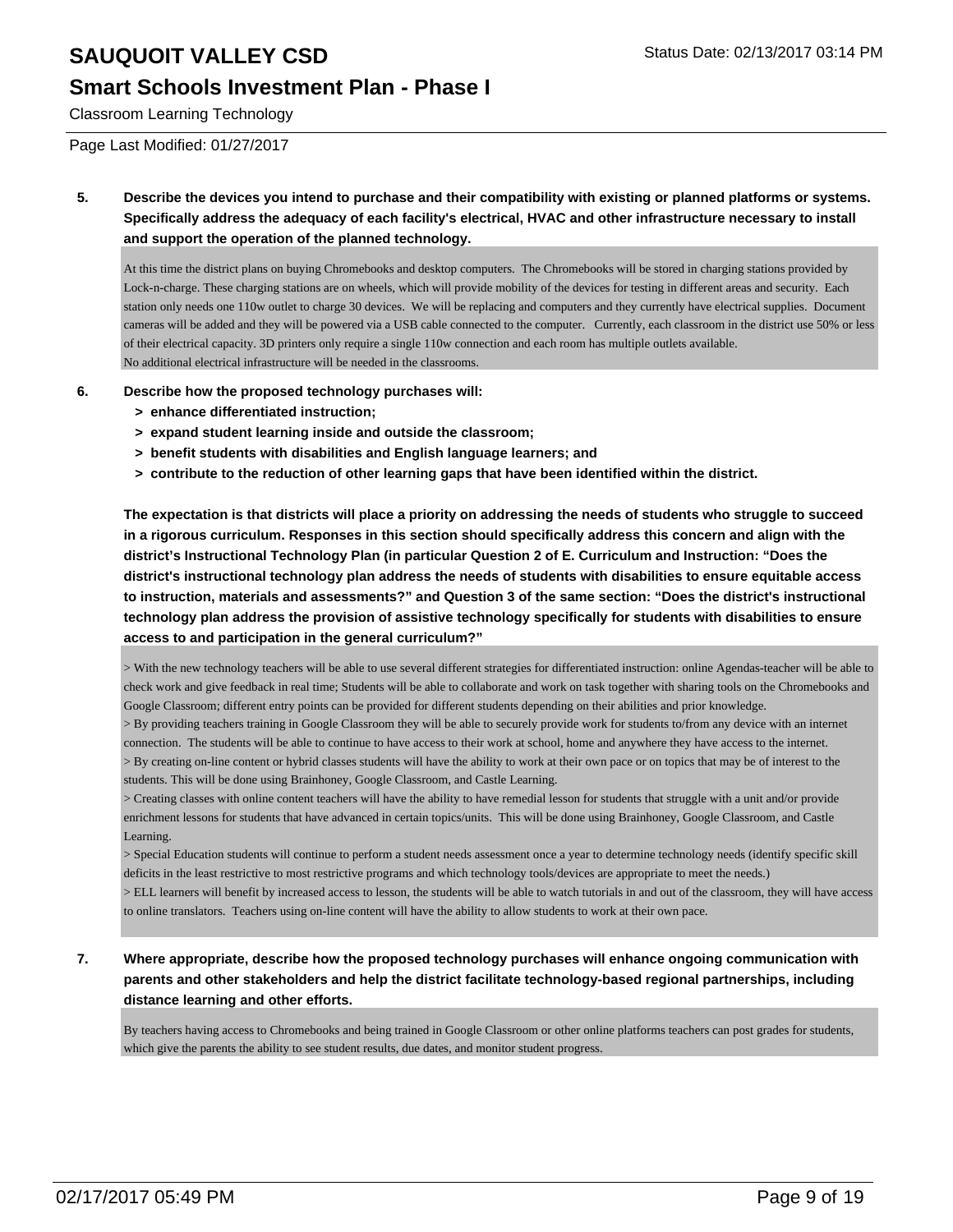#### **Smart Schools Investment Plan - Phase I**

Classroom Learning Technology

Page Last Modified: 01/27/2017

**5. Describe the devices you intend to purchase and their compatibility with existing or planned platforms or systems. Specifically address the adequacy of each facility's electrical, HVAC and other infrastructure necessary to install and support the operation of the planned technology.**

At this time the district plans on buying Chromebooks and desktop computers. The Chromebooks will be stored in charging stations provided by Lock-n-charge. These charging stations are on wheels, which will provide mobility of the devices for testing in different areas and security. Each station only needs one 110w outlet to charge 30 devices. We will be replacing and computers and they currently have electrical supplies. Document cameras will be added and they will be powered via a USB cable connected to the computer. Currently, each classroom in the district use 50% or less of their electrical capacity. 3D printers only require a single 110w connection and each room has multiple outlets available. No additional electrical infrastructure will be needed in the classrooms.

- **6. Describe how the proposed technology purchases will:**
	- **> enhance differentiated instruction;**
	- **> expand student learning inside and outside the classroom;**
	- **> benefit students with disabilities and English language learners; and**
	- **> contribute to the reduction of other learning gaps that have been identified within the district.**

**The expectation is that districts will place a priority on addressing the needs of students who struggle to succeed in a rigorous curriculum. Responses in this section should specifically address this concern and align with the district's Instructional Technology Plan (in particular Question 2 of E. Curriculum and Instruction: "Does the district's instructional technology plan address the needs of students with disabilities to ensure equitable access to instruction, materials and assessments?" and Question 3 of the same section: "Does the district's instructional technology plan address the provision of assistive technology specifically for students with disabilities to ensure access to and participation in the general curriculum?"**

> With the new technology teachers will be able to use several different strategies for differentiated instruction: online Agendas-teacher will be able to check work and give feedback in real time; Students will be able to collaborate and work on task together with sharing tools on the Chromebooks and Google Classroom; different entry points can be provided for different students depending on their abilities and prior knowledge.

> By providing teachers training in Google Classroom they will be able to securely provide work for students to/from any device with an internet connection. The students will be able to continue to have access to their work at school, home and anywhere they have access to the internet.

> By creating on-line content or hybrid classes students will have the ability to work at their own pace or on topics that may be of interest to the students. This will be done using Brainhoney, Google Classroom, and Castle Learning.

> Creating classes with online content teachers will have the ability to have remedial lesson for students that struggle with a unit and/or provide enrichment lessons for students that have advanced in certain topics/units. This will be done using Brainhoney, Google Classroom, and Castle Learning.

> Special Education students will continue to perform a student needs assessment once a year to determine technology needs (identify specific skill deficits in the least restrictive to most restrictive programs and which technology tools/devices are appropriate to meet the needs.)

> ELL learners will benefit by increased access to lesson, the students will be able to watch tutorials in and out of the classroom, they will have access to online translators. Teachers using on-line content will have the ability to allow students to work at their own pace.

**7. Where appropriate, describe how the proposed technology purchases will enhance ongoing communication with parents and other stakeholders and help the district facilitate technology-based regional partnerships, including distance learning and other efforts.**

By teachers having access to Chromebooks and being trained in Google Classroom or other online platforms teachers can post grades for students, which give the parents the ability to see student results, due dates, and monitor student progress.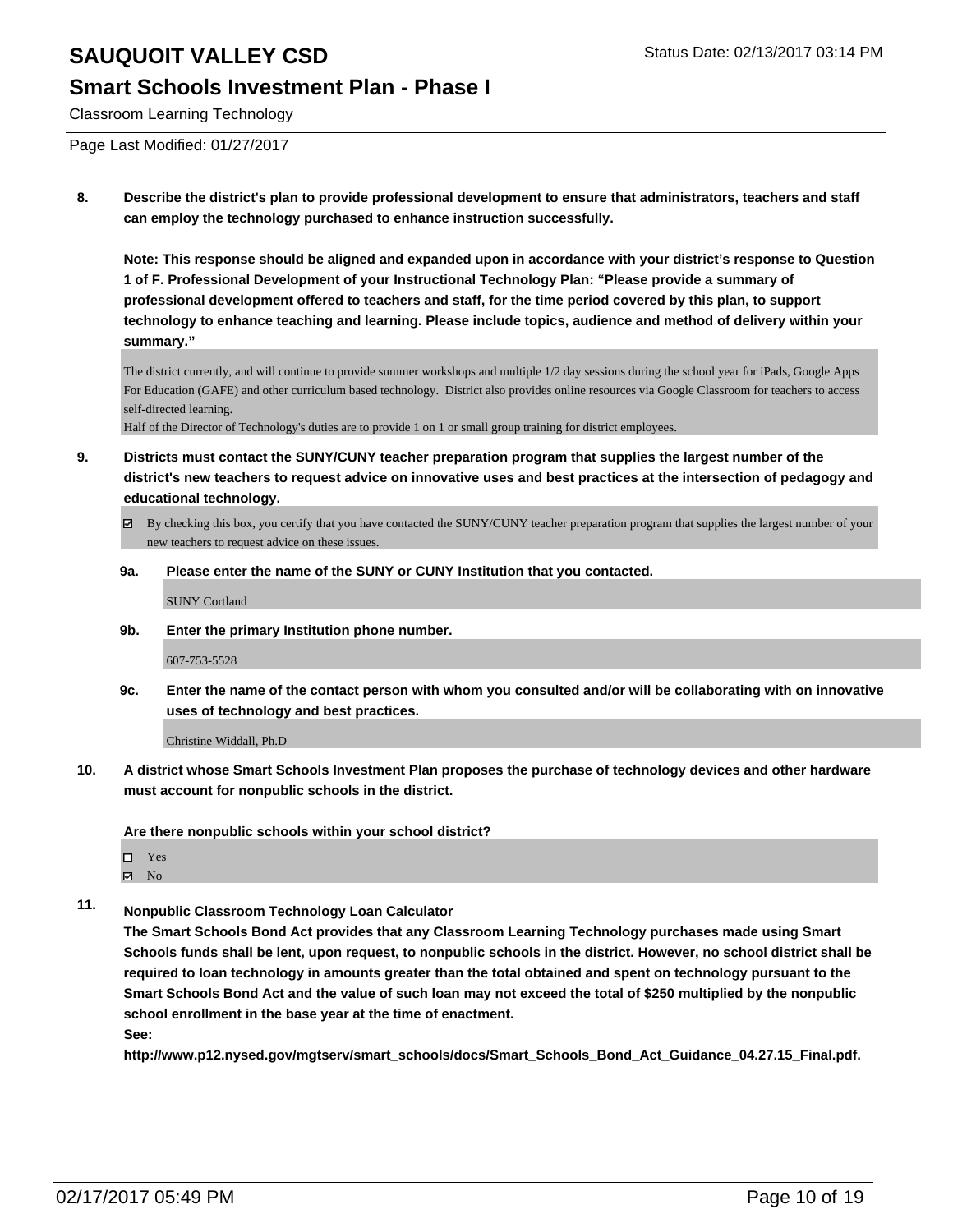#### **Smart Schools Investment Plan - Phase I**

Classroom Learning Technology

Page Last Modified: 01/27/2017

**8. Describe the district's plan to provide professional development to ensure that administrators, teachers and staff can employ the technology purchased to enhance instruction successfully.**

**Note: This response should be aligned and expanded upon in accordance with your district's response to Question 1 of F. Professional Development of your Instructional Technology Plan: "Please provide a summary of professional development offered to teachers and staff, for the time period covered by this plan, to support technology to enhance teaching and learning. Please include topics, audience and method of delivery within your summary."**

The district currently, and will continue to provide summer workshops and multiple 1/2 day sessions during the school year for iPads, Google Apps For Education (GAFE) and other curriculum based technology. District also provides online resources via Google Classroom for teachers to access self-directed learning.

Half of the Director of Technology's duties are to provide 1 on 1 or small group training for district employees.

- **9. Districts must contact the SUNY/CUNY teacher preparation program that supplies the largest number of the district's new teachers to request advice on innovative uses and best practices at the intersection of pedagogy and educational technology.**
	- $\boxtimes$  By checking this box, you certify that you have contacted the SUNY/CUNY teacher preparation program that supplies the largest number of your new teachers to request advice on these issues.
	- **9a. Please enter the name of the SUNY or CUNY Institution that you contacted.**

SUNY Cortland

**9b. Enter the primary Institution phone number.**

607-753-5528

**9c. Enter the name of the contact person with whom you consulted and/or will be collaborating with on innovative uses of technology and best practices.**

Christine Widdall, Ph.D

**10. A district whose Smart Schools Investment Plan proposes the purchase of technology devices and other hardware must account for nonpublic schools in the district.**

**Are there nonpublic schools within your school district?**

Yes

 $\boxtimes$  No

**11. Nonpublic Classroom Technology Loan Calculator**

**The Smart Schools Bond Act provides that any Classroom Learning Technology purchases made using Smart Schools funds shall be lent, upon request, to nonpublic schools in the district. However, no school district shall be required to loan technology in amounts greater than the total obtained and spent on technology pursuant to the Smart Schools Bond Act and the value of such loan may not exceed the total of \$250 multiplied by the nonpublic school enrollment in the base year at the time of enactment.**

**See:**

**http://www.p12.nysed.gov/mgtserv/smart\_schools/docs/Smart\_Schools\_Bond\_Act\_Guidance\_04.27.15\_Final.pdf.**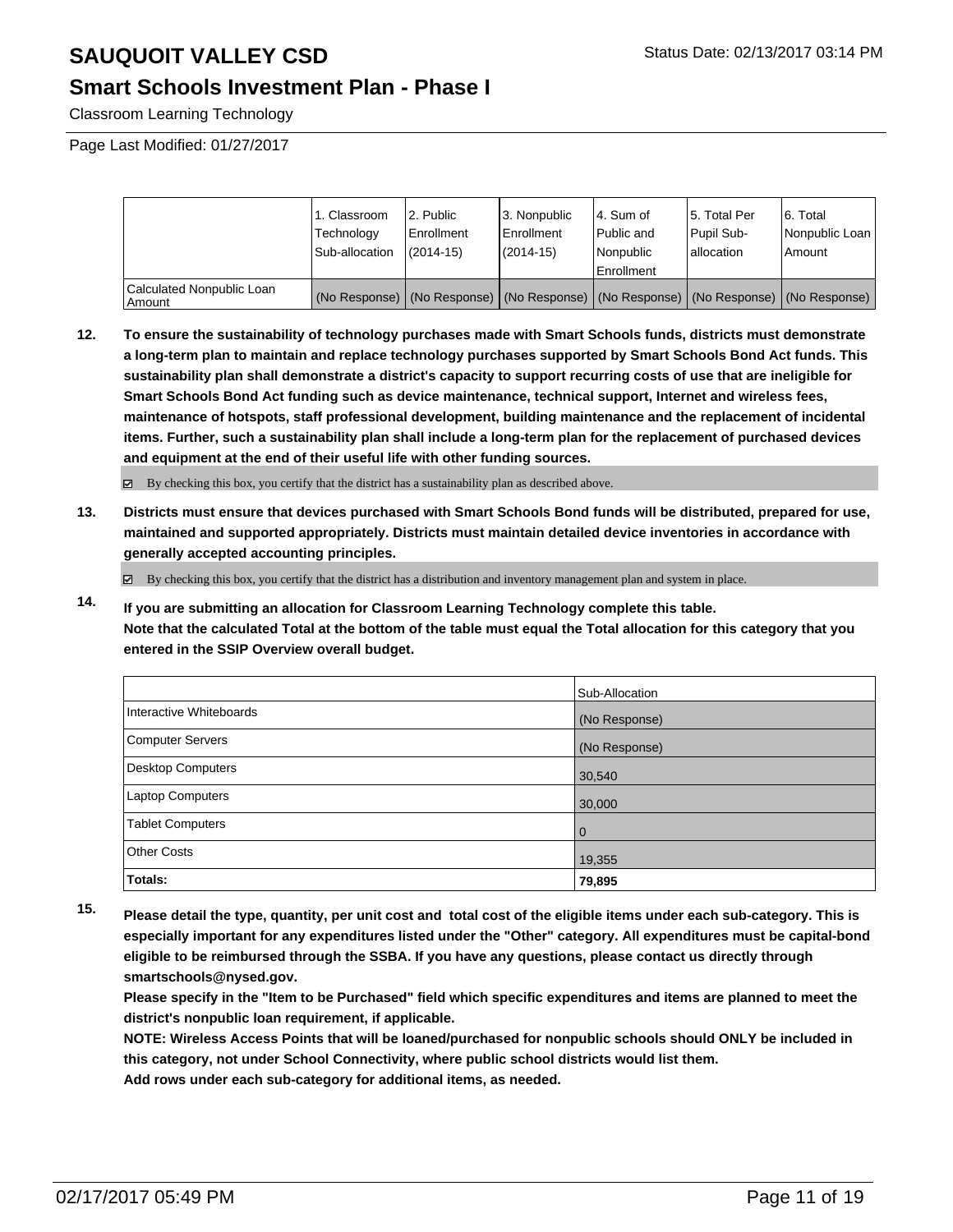### **Smart Schools Investment Plan - Phase I**

Classroom Learning Technology

Page Last Modified: 01/27/2017

|                                     | 1. Classroom<br>Technology<br>Sub-allocation | 2. Public<br>l Enrollment<br>$(2014 - 15)$ | 3. Nonpublic<br><b>Enrollment</b><br>(2014-15) | 4. Sum of<br>Public and<br>Nonpublic<br>Enrollment                                            | 15. Total Per<br>Pupil Sub-<br>lallocation | 6. Total<br>Nonpublic Loan<br>Amount |
|-------------------------------------|----------------------------------------------|--------------------------------------------|------------------------------------------------|-----------------------------------------------------------------------------------------------|--------------------------------------------|--------------------------------------|
| Calculated Nonpublic Loan<br>Amount |                                              |                                            |                                                | (No Response)   (No Response)   (No Response)   (No Response)   (No Response)   (No Response) |                                            |                                      |

**12. To ensure the sustainability of technology purchases made with Smart Schools funds, districts must demonstrate a long-term plan to maintain and replace technology purchases supported by Smart Schools Bond Act funds. This sustainability plan shall demonstrate a district's capacity to support recurring costs of use that are ineligible for Smart Schools Bond Act funding such as device maintenance, technical support, Internet and wireless fees, maintenance of hotspots, staff professional development, building maintenance and the replacement of incidental items. Further, such a sustainability plan shall include a long-term plan for the replacement of purchased devices and equipment at the end of their useful life with other funding sources.**

By checking this box, you certify that the district has a sustainability plan as described above.

**13. Districts must ensure that devices purchased with Smart Schools Bond funds will be distributed, prepared for use, maintained and supported appropriately. Districts must maintain detailed device inventories in accordance with generally accepted accounting principles.**

 $\boxtimes$  By checking this box, you certify that the district has a distribution and inventory management plan and system in place.

**14. If you are submitting an allocation for Classroom Learning Technology complete this table. Note that the calculated Total at the bottom of the table must equal the Total allocation for this category that you entered in the SSIP Overview overall budget.**

|                         | Sub-Allocation |
|-------------------------|----------------|
| Interactive Whiteboards | (No Response)  |
| Computer Servers        | (No Response)  |
| Desktop Computers       | 30,540         |
| Laptop Computers        | 30,000         |
| <b>Tablet Computers</b> | $\overline{0}$ |
| Other Costs             | 19,355         |
| Totals:                 | 79,895         |

**15. Please detail the type, quantity, per unit cost and total cost of the eligible items under each sub-category. This is especially important for any expenditures listed under the "Other" category. All expenditures must be capital-bond eligible to be reimbursed through the SSBA. If you have any questions, please contact us directly through smartschools@nysed.gov.**

**Please specify in the "Item to be Purchased" field which specific expenditures and items are planned to meet the district's nonpublic loan requirement, if applicable.**

**NOTE: Wireless Access Points that will be loaned/purchased for nonpublic schools should ONLY be included in this category, not under School Connectivity, where public school districts would list them.**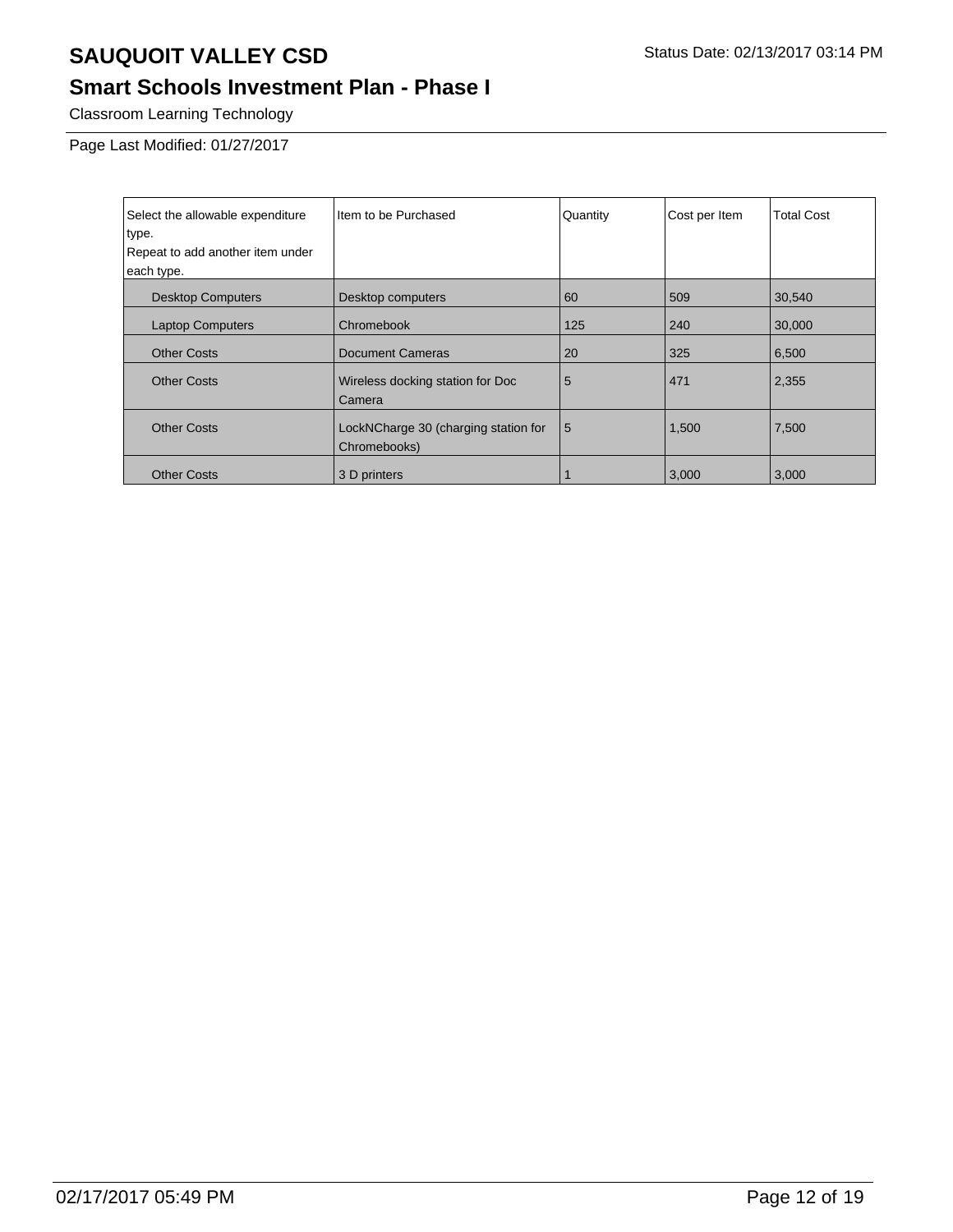### **Smart Schools Investment Plan - Phase I**

Classroom Learning Technology

Page Last Modified: 01/27/2017

| Select the allowable expenditure<br>type. | Item to be Purchased                                 | Quantity | Cost per Item | <b>Total Cost</b> |
|-------------------------------------------|------------------------------------------------------|----------|---------------|-------------------|
| Repeat to add another item under          |                                                      |          |               |                   |
| each type.                                |                                                      |          |               |                   |
| <b>Desktop Computers</b>                  | Desktop computers                                    | 60       | 509           | 30,540            |
| <b>Laptop Computers</b>                   | Chromebook                                           | 125      | 240           | 30,000            |
| <b>Other Costs</b>                        | <b>Document Cameras</b>                              | 20       | 325           | 6,500             |
| <b>Other Costs</b>                        | Wireless docking station for Doc<br>Camera           | 5        | 471           | 2,355             |
| <b>Other Costs</b>                        | LockNCharge 30 (charging station for<br>Chromebooks) | 5        | 1,500         | 7,500             |
| <b>Other Costs</b>                        | 3 D printers                                         |          | 3,000         | 3,000             |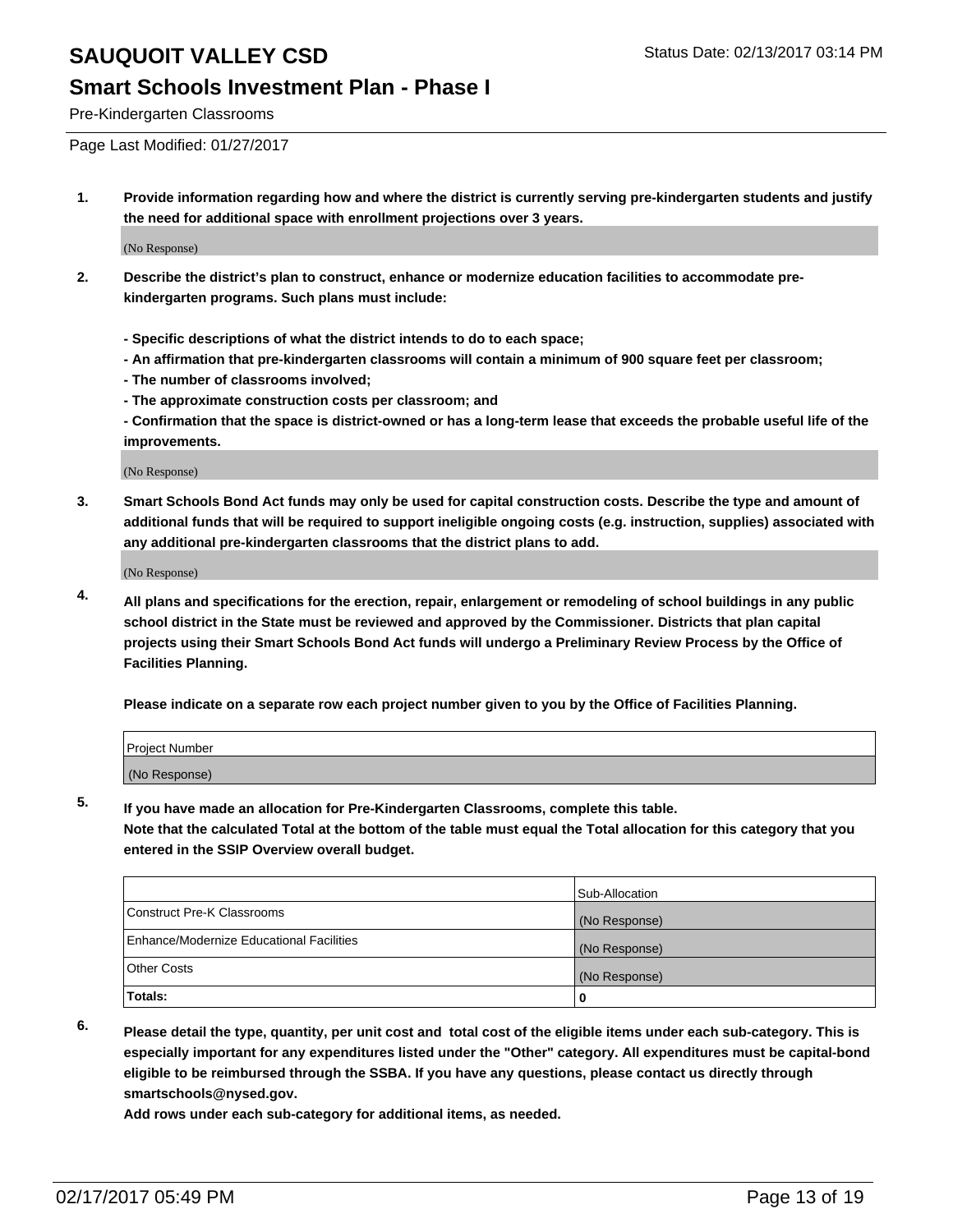#### **Smart Schools Investment Plan - Phase I**

Pre-Kindergarten Classrooms

Page Last Modified: 01/27/2017

**1. Provide information regarding how and where the district is currently serving pre-kindergarten students and justify the need for additional space with enrollment projections over 3 years.**

(No Response)

- **2. Describe the district's plan to construct, enhance or modernize education facilities to accommodate prekindergarten programs. Such plans must include:**
	- **Specific descriptions of what the district intends to do to each space;**
	- **An affirmation that pre-kindergarten classrooms will contain a minimum of 900 square feet per classroom;**
	- **The number of classrooms involved;**
	- **The approximate construction costs per classroom; and**
	- **Confirmation that the space is district-owned or has a long-term lease that exceeds the probable useful life of the improvements.**

(No Response)

**3. Smart Schools Bond Act funds may only be used for capital construction costs. Describe the type and amount of additional funds that will be required to support ineligible ongoing costs (e.g. instruction, supplies) associated with any additional pre-kindergarten classrooms that the district plans to add.**

(No Response)

**4. All plans and specifications for the erection, repair, enlargement or remodeling of school buildings in any public school district in the State must be reviewed and approved by the Commissioner. Districts that plan capital projects using their Smart Schools Bond Act funds will undergo a Preliminary Review Process by the Office of Facilities Planning.**

**Please indicate on a separate row each project number given to you by the Office of Facilities Planning.**

| Project Number |  |  |
|----------------|--|--|
| (No Response)  |  |  |

**5. If you have made an allocation for Pre-Kindergarten Classrooms, complete this table.**

**Note that the calculated Total at the bottom of the table must equal the Total allocation for this category that you entered in the SSIP Overview overall budget.**

|                                          | Sub-Allocation |
|------------------------------------------|----------------|
| Construct Pre-K Classrooms               | (No Response)  |
| Enhance/Modernize Educational Facilities | (No Response)  |
| <b>Other Costs</b>                       | (No Response)  |
| Totals:                                  |                |

**6. Please detail the type, quantity, per unit cost and total cost of the eligible items under each sub-category. This is especially important for any expenditures listed under the "Other" category. All expenditures must be capital-bond eligible to be reimbursed through the SSBA. If you have any questions, please contact us directly through smartschools@nysed.gov.**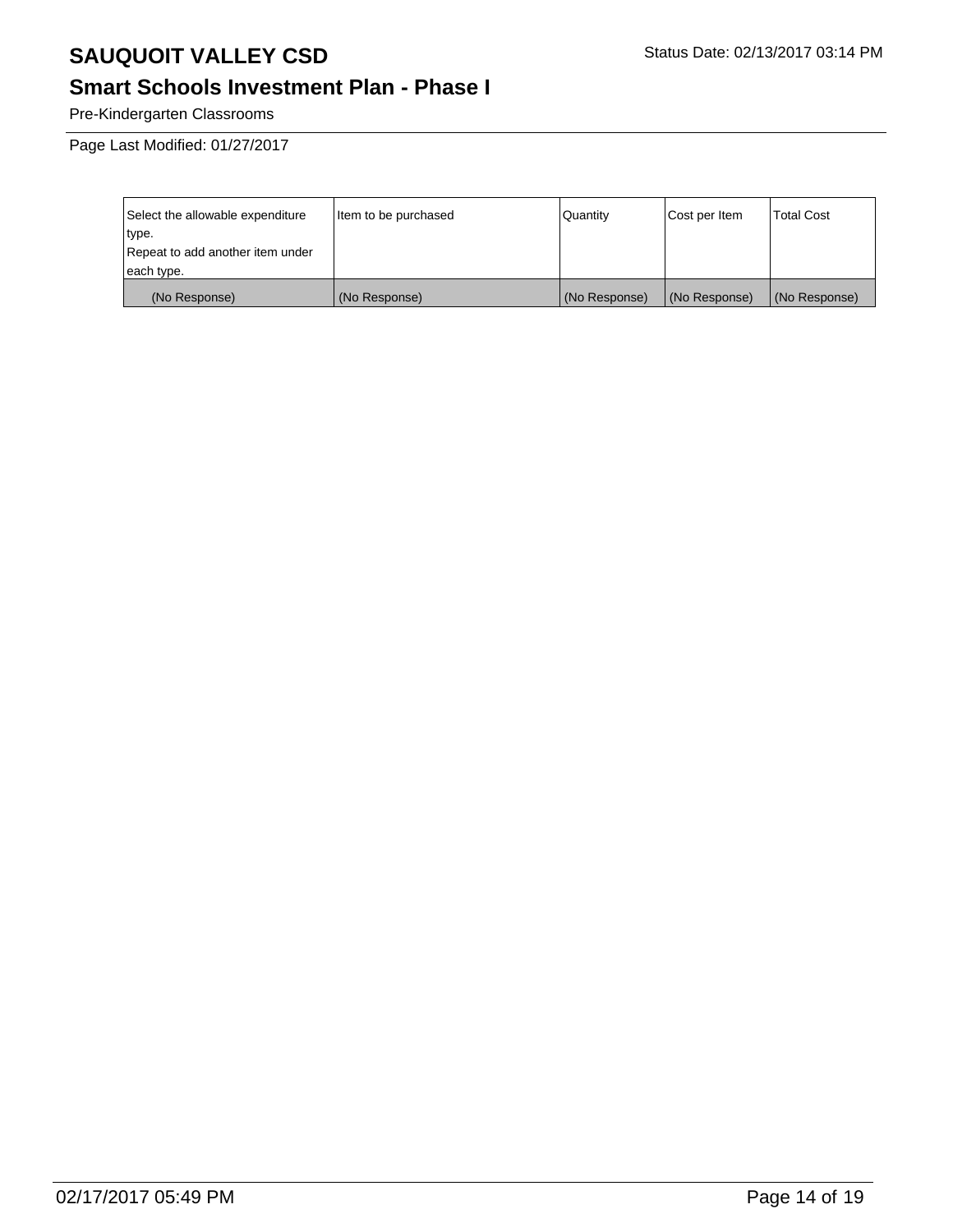### **Smart Schools Investment Plan - Phase I**

Pre-Kindergarten Classrooms

Page Last Modified: 01/27/2017

| Select the allowable expenditure | Item to be purchased | Quantity      | Cost per Item | <b>Total Cost</b> |
|----------------------------------|----------------------|---------------|---------------|-------------------|
| type.                            |                      |               |               |                   |
| Repeat to add another item under |                      |               |               |                   |
| each type.                       |                      |               |               |                   |
| (No Response)                    | (No Response)        | (No Response) | (No Response) | (No Response)     |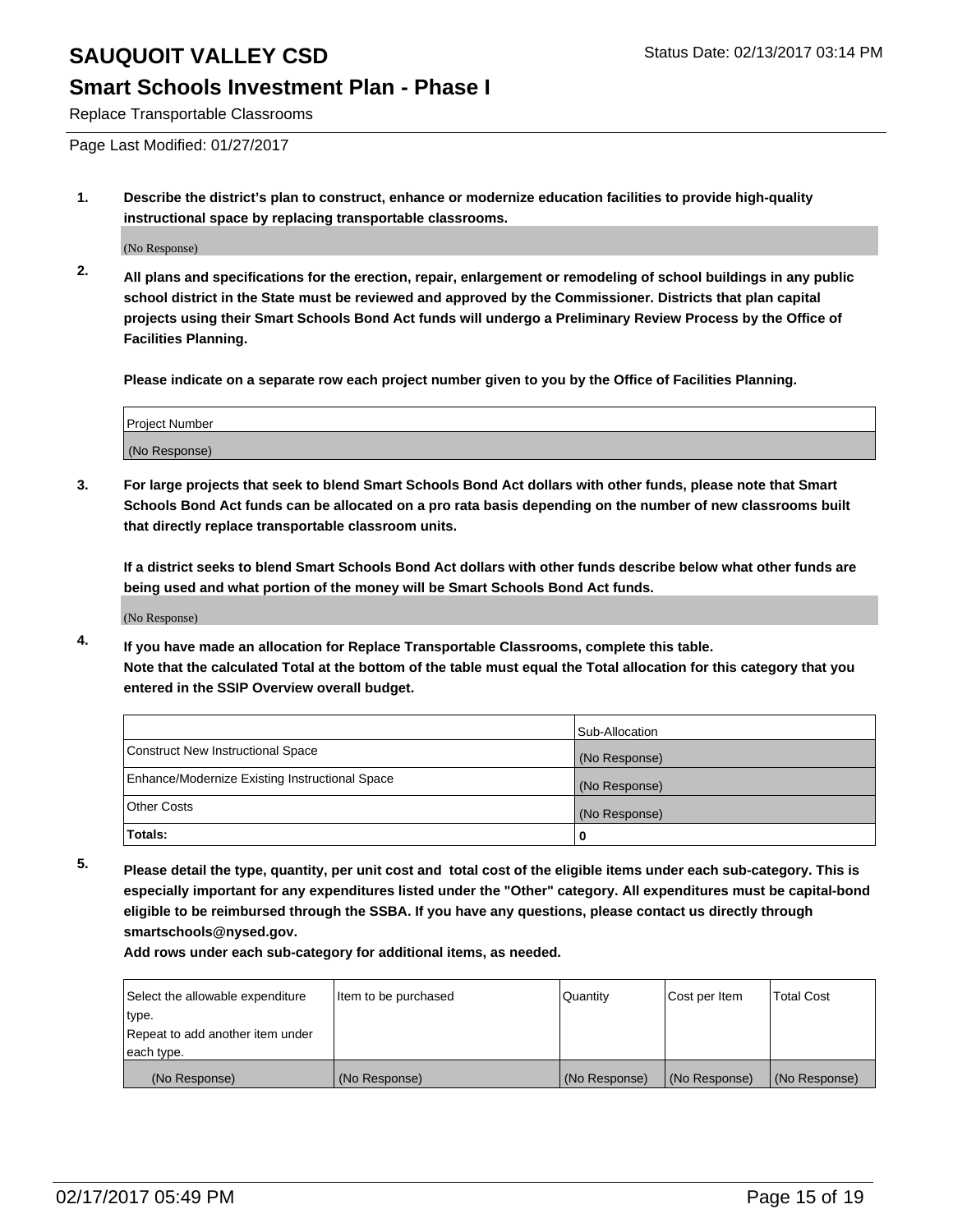#### **Smart Schools Investment Plan - Phase I**

Replace Transportable Classrooms

Page Last Modified: 01/27/2017

**1. Describe the district's plan to construct, enhance or modernize education facilities to provide high-quality instructional space by replacing transportable classrooms.**

(No Response)

**2. All plans and specifications for the erection, repair, enlargement or remodeling of school buildings in any public school district in the State must be reviewed and approved by the Commissioner. Districts that plan capital projects using their Smart Schools Bond Act funds will undergo a Preliminary Review Process by the Office of Facilities Planning.**

**Please indicate on a separate row each project number given to you by the Office of Facilities Planning.**

| <b>Project Number</b> |  |
|-----------------------|--|
| (No Response)         |  |

**3. For large projects that seek to blend Smart Schools Bond Act dollars with other funds, please note that Smart Schools Bond Act funds can be allocated on a pro rata basis depending on the number of new classrooms built that directly replace transportable classroom units.**

**If a district seeks to blend Smart Schools Bond Act dollars with other funds describe below what other funds are being used and what portion of the money will be Smart Schools Bond Act funds.**

(No Response)

**4. If you have made an allocation for Replace Transportable Classrooms, complete this table. Note that the calculated Total at the bottom of the table must equal the Total allocation for this category that you entered in the SSIP Overview overall budget.**

|                                                | Sub-Allocation |
|------------------------------------------------|----------------|
| Construct New Instructional Space              | (No Response)  |
| Enhance/Modernize Existing Instructional Space | (No Response)  |
| <b>Other Costs</b>                             | (No Response)  |
| Totals:                                        |                |

**5. Please detail the type, quantity, per unit cost and total cost of the eligible items under each sub-category. This is especially important for any expenditures listed under the "Other" category. All expenditures must be capital-bond eligible to be reimbursed through the SSBA. If you have any questions, please contact us directly through smartschools@nysed.gov.**

| Select the allowable expenditure | Item to be purchased | Quantity      | Cost per Item | <b>Total Cost</b> |
|----------------------------------|----------------------|---------------|---------------|-------------------|
| type.                            |                      |               |               |                   |
| Repeat to add another item under |                      |               |               |                   |
| each type.                       |                      |               |               |                   |
| (No Response)                    | (No Response)        | (No Response) | (No Response) | (No Response)     |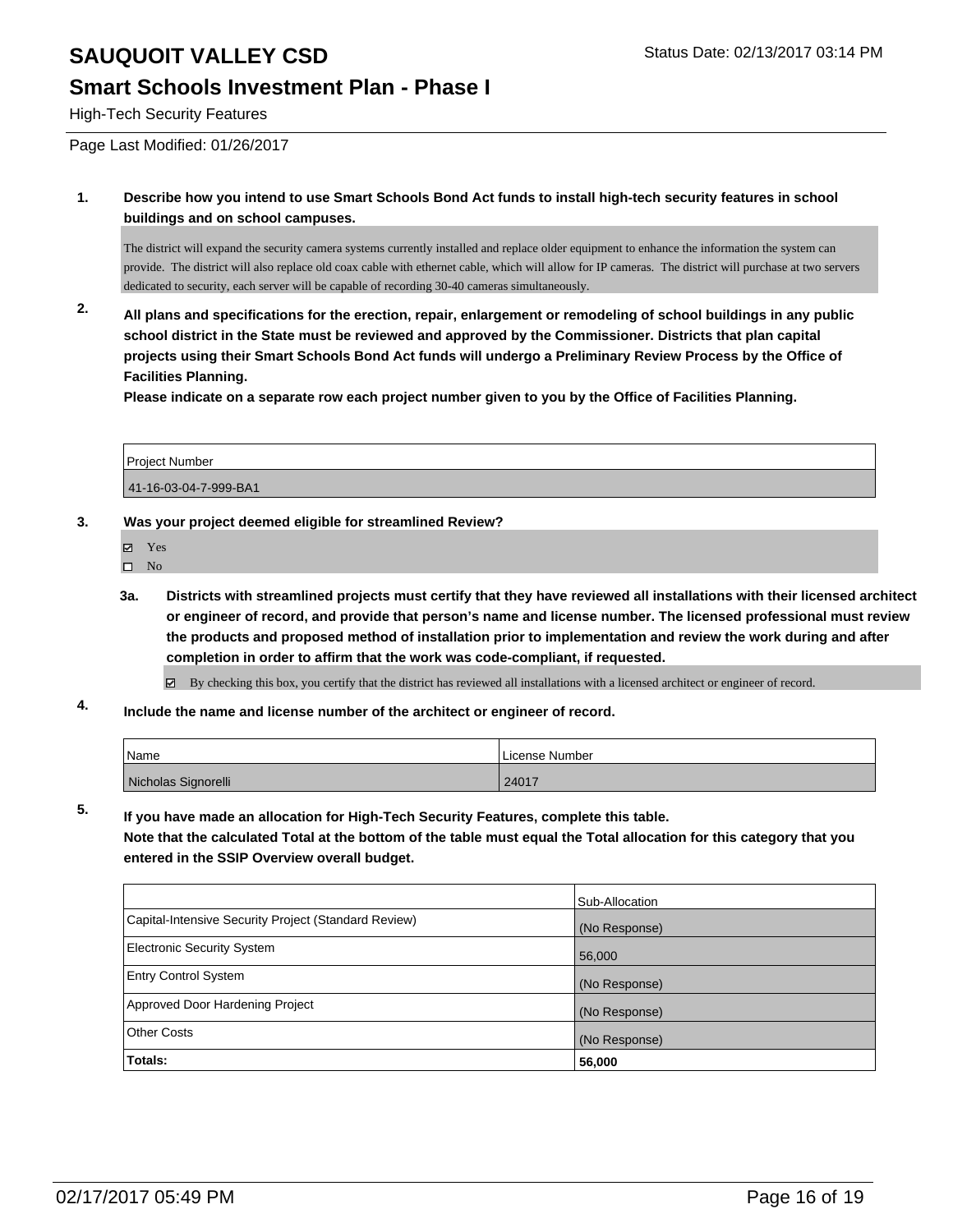#### **Smart Schools Investment Plan - Phase I**

High-Tech Security Features

Page Last Modified: 01/26/2017

**1. Describe how you intend to use Smart Schools Bond Act funds to install high-tech security features in school buildings and on school campuses.**

The district will expand the security camera systems currently installed and replace older equipment to enhance the information the system can provide. The district will also replace old coax cable with ethernet cable, which will allow for IP cameras. The district will purchase at two servers dedicated to security, each server will be capable of recording 30-40 cameras simultaneously.

**2. All plans and specifications for the erection, repair, enlargement or remodeling of school buildings in any public school district in the State must be reviewed and approved by the Commissioner. Districts that plan capital projects using their Smart Schools Bond Act funds will undergo a Preliminary Review Process by the Office of Facilities Planning.** 

**Please indicate on a separate row each project number given to you by the Office of Facilities Planning.**

| Project Number        |  |
|-----------------------|--|
| 41-16-03-04-7-999-BA1 |  |

#### **3. Was your project deemed eligible for streamlined Review?**

- Yes
- $\square$  No
- **3a. Districts with streamlined projects must certify that they have reviewed all installations with their licensed architect or engineer of record, and provide that person's name and license number. The licensed professional must review the products and proposed method of installation prior to implementation and review the work during and after completion in order to affirm that the work was code-compliant, if requested.**

By checking this box, you certify that the district has reviewed all installations with a licensed architect or engineer of record.

**4. Include the name and license number of the architect or engineer of record.**

| <sup>1</sup> Name   | License Number |
|---------------------|----------------|
| Nicholas Signorelli | 24017          |

**5. If you have made an allocation for High-Tech Security Features, complete this table.**

**Note that the calculated Total at the bottom of the table must equal the Total allocation for this category that you entered in the SSIP Overview overall budget.**

|                                                      | Sub-Allocation |
|------------------------------------------------------|----------------|
| Capital-Intensive Security Project (Standard Review) | (No Response)  |
| Electronic Security System                           | 56,000         |
| <b>Entry Control System</b>                          | (No Response)  |
| Approved Door Hardening Project                      | (No Response)  |
| Other Costs                                          | (No Response)  |
| Totals:                                              | 56,000         |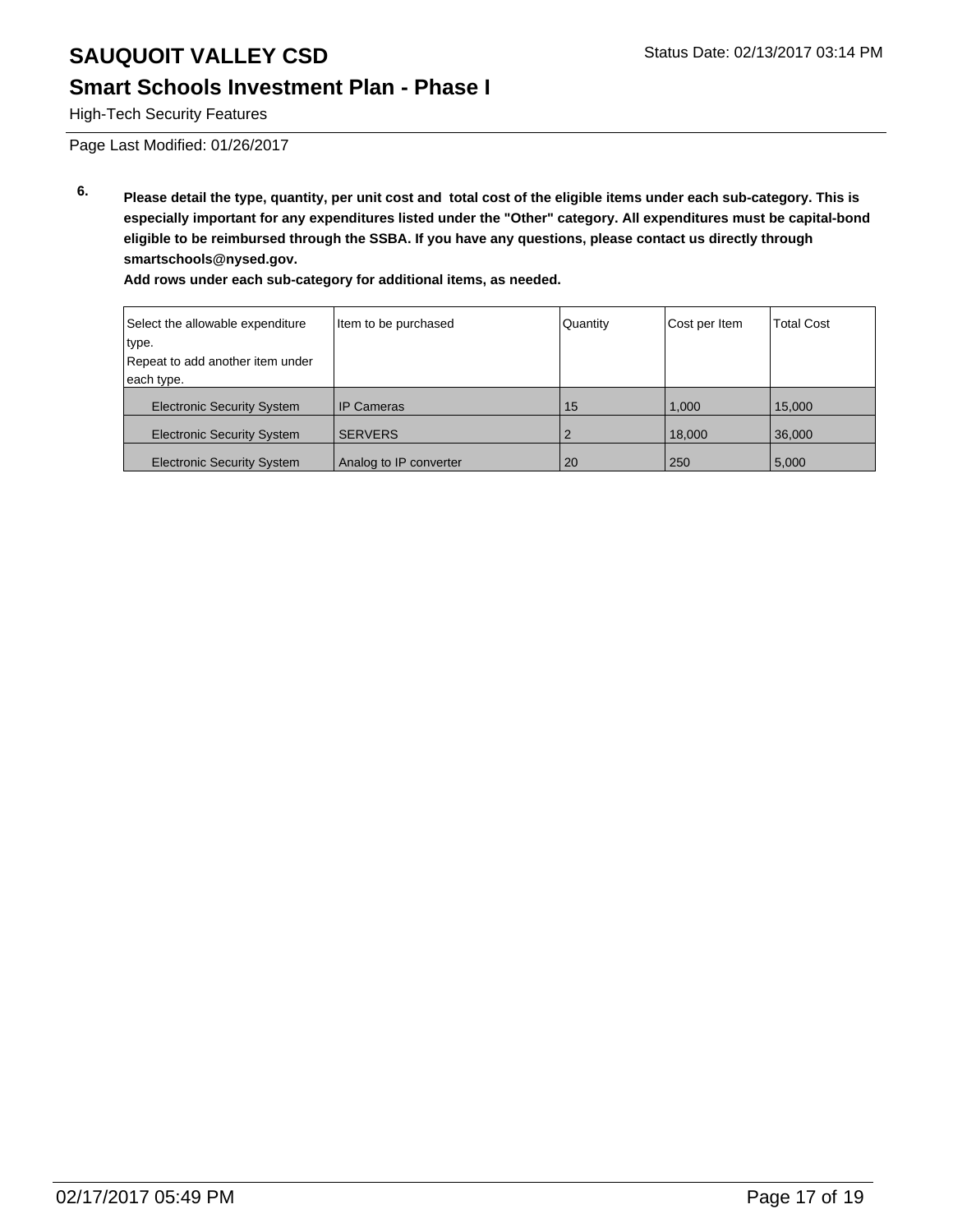### **Smart Schools Investment Plan - Phase I**

High-Tech Security Features

Page Last Modified: 01/26/2017

**6. Please detail the type, quantity, per unit cost and total cost of the eligible items under each sub-category. This is especially important for any expenditures listed under the "Other" category. All expenditures must be capital-bond eligible to be reimbursed through the SSBA. If you have any questions, please contact us directly through smartschools@nysed.gov.**

| Select the allowable expenditure  | Item to be purchased   | Quantity | Cost per Item | <b>Total Cost</b> |
|-----------------------------------|------------------------|----------|---------------|-------------------|
| type.                             |                        |          |               |                   |
| Repeat to add another item under  |                        |          |               |                   |
| each type.                        |                        |          |               |                   |
| <b>Electronic Security System</b> | I IP Cameras           | 15       | 1.000         | 15,000            |
| <b>Electronic Security System</b> | <b>SERVERS</b>         |          | 18,000        | 36,000            |
| <b>Electronic Security System</b> | Analog to IP converter | 20       | 250           | 5,000             |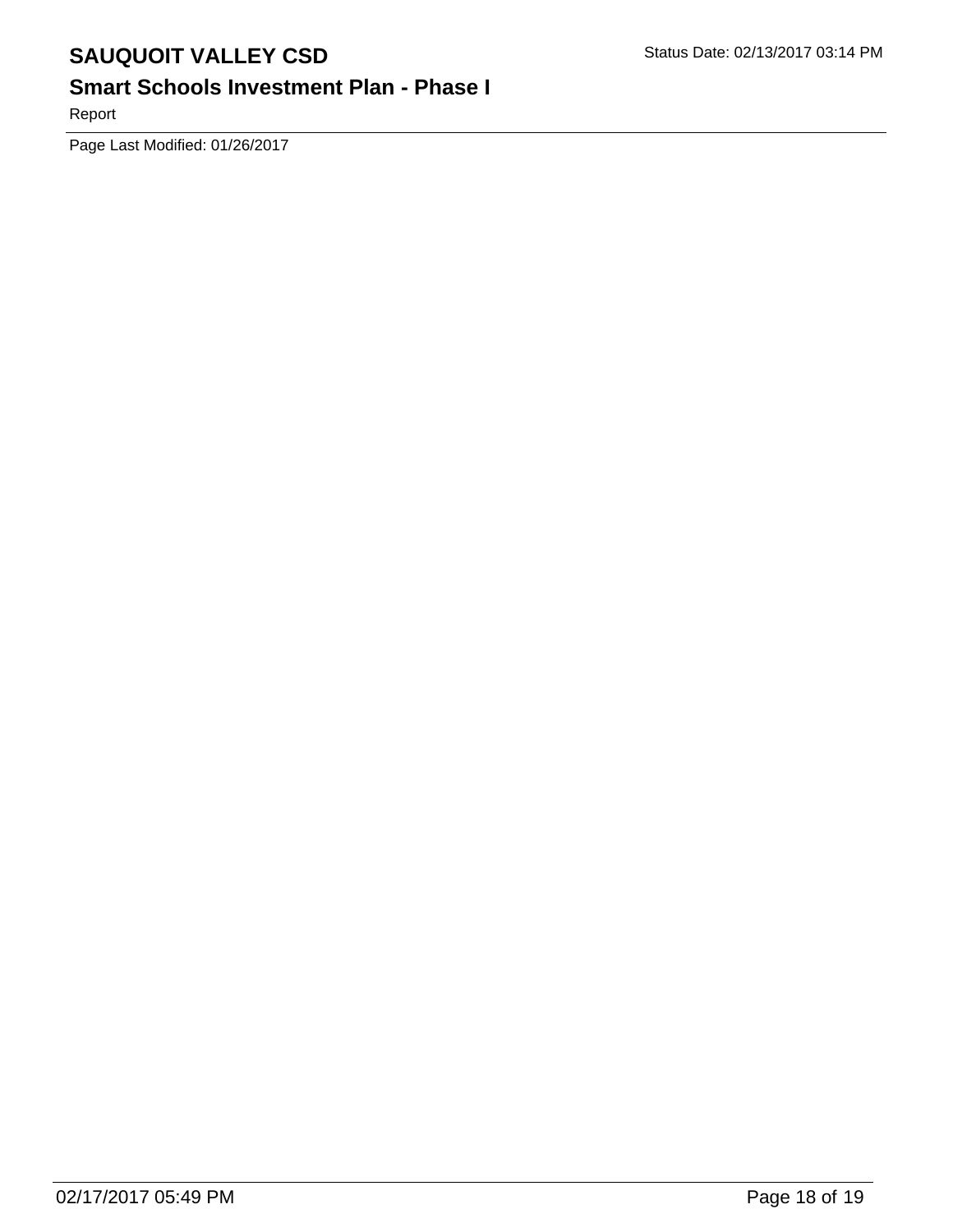# **Smart Schools Investment Plan - Phase I**

Report

Page Last Modified: 01/26/2017